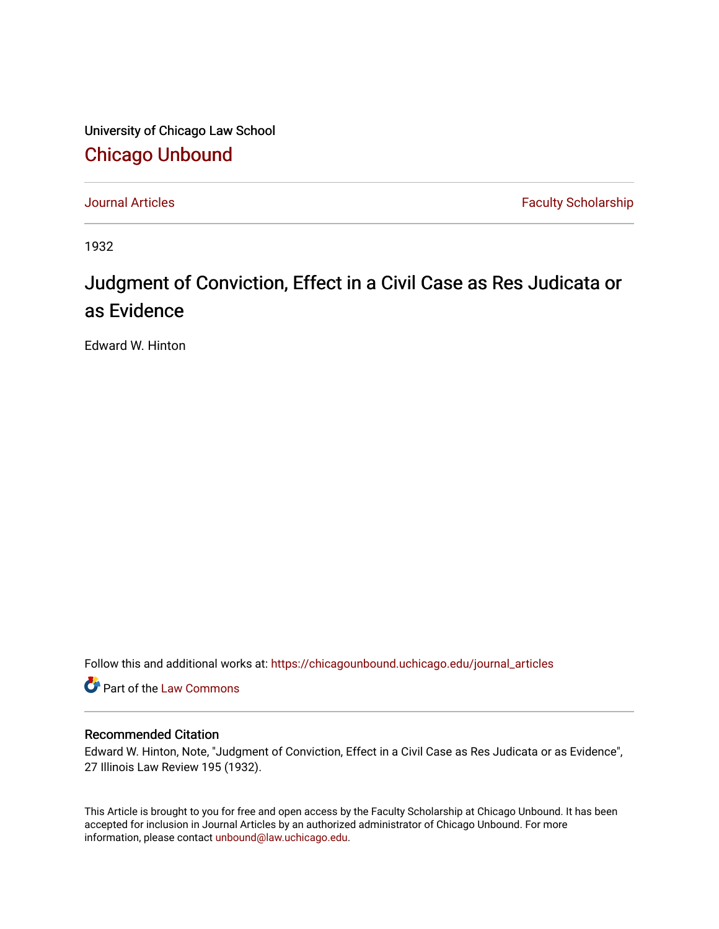University of Chicago Law School [Chicago Unbound](https://chicagounbound.uchicago.edu/)

[Journal Articles](https://chicagounbound.uchicago.edu/journal_articles) **Faculty Scholarship Faculty Scholarship** 

1932

## Judgment of Conviction, Effect in a Civil Case as Res Judicata or as Evidence

Edward W. Hinton

Follow this and additional works at: [https://chicagounbound.uchicago.edu/journal\\_articles](https://chicagounbound.uchicago.edu/journal_articles?utm_source=chicagounbound.uchicago.edu%2Fjournal_articles%2F9189&utm_medium=PDF&utm_campaign=PDFCoverPages) 

**C** Part of the [Law Commons](http://network.bepress.com/hgg/discipline/578?utm_source=chicagounbound.uchicago.edu%2Fjournal_articles%2F9189&utm_medium=PDF&utm_campaign=PDFCoverPages)

## Recommended Citation

Edward W. Hinton, Note, "Judgment of Conviction, Effect in a Civil Case as Res Judicata or as Evidence", 27 Illinois Law Review 195 (1932).

This Article is brought to you for free and open access by the Faculty Scholarship at Chicago Unbound. It has been accepted for inclusion in Journal Articles by an authorized administrator of Chicago Unbound. For more information, please contact [unbound@law.uchicago.edu](mailto:unbound@law.uchicago.edu).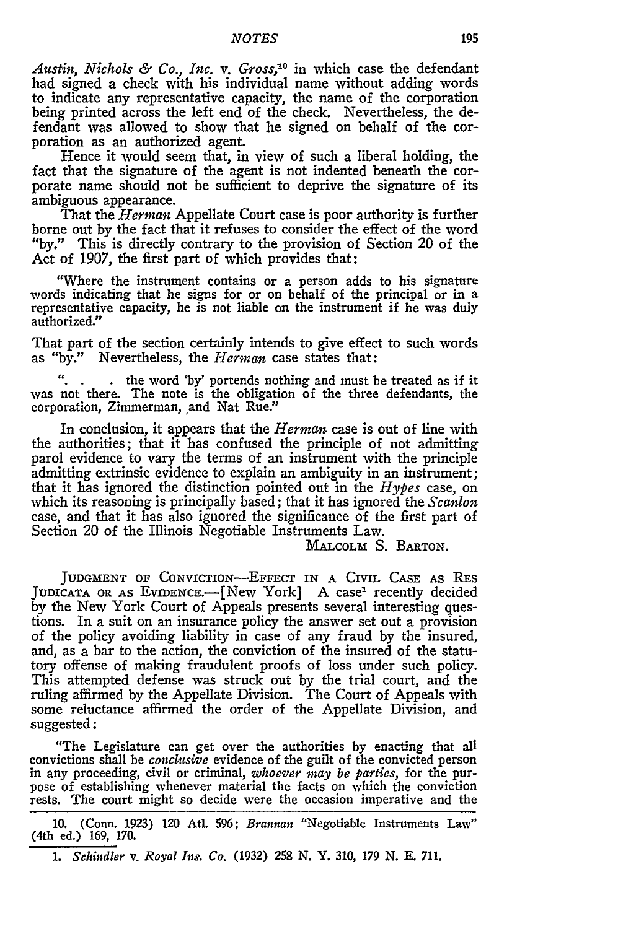*Austin, Nichols & Co., Inc. v. Gross,"°* in which case the defendant had signed a check with his individual name without adding words to indicate any representative capacity, the name of the corporation being printed across the left end of the check. Nevertheless, the defendant was allowed to show that he signed on behalf of the corporation as an authorized agent.

Hence it would seem that, in view of such a liberal holding, the fact that the signature of the agent is not indented beneath the corporate name should not be sufficient to deprive the signature of its ambiguous appearance.

That the *Herman* Appellate Court case is poor authority is further borne out by the fact that it refuses to consider the effect of the word "by." This is directly contrary to the provision of Section 20 of the Act of 1907, the first part of which provides that:

"Where the instrument contains or a person adds to his signature words indicating that he signs for or on behalf of the principal or in a representative capacity, he is not liable on the instrument if he was duly authorized."

That part of the section certainly intends to give effect to such words as "by." Nevertheless, the *Herman* case states that:

*".* **.** the word 'by' portends nothing and must be treated as if it was not there. The note is the obligation of the three defendants, the corporation, Zimmerman, and Nat Rue."

In conclusion, it appears that the *Herman* case is out of line with the authorities; that it has confused the principle of not admitting parol evidence to vary the terms of an instrument with the principle admitting extrinsic evidence to explain an ambiguity in an instrument; that it has ignored the distinction pointed out in the *Hypes* case, on which its reasoning is principally based; that it has ignored the *Scanlon* case, and that it has also ignored the significance of the first part of Section 20 of the Illinois Negotiable Instruments Law.

MALCOLM S. BARTON.

JUDGMENT OF CONVICTION-EFFECT IN **A** CIVIL **CASE** AS RES JUDICATA OR AS EVIDENCE.--[New York] A case<sup>1</sup> recently decided by the New York Court of Appeals presents several interesting questions. In a suit on an insurance policy the answer set out a provision of the policy avoiding liability in case of any fraud by the insured, and, as a bar to the action, the conviction of the insured of the statutory offense of making fraudulent proofs of loss under such policy. This attempted defense was struck out by the trial court, and the ruling affirmed by the Appellate Division. The Court of Appeals with some reluctance affirmed the order of the Appellate Division, and suggested:

"The Legislature can get over the authorities by enacting that all convictions shall be *conclusive* evidence of the guilt of the convicted person in any proceeding, civil or criminal, *whoever may be parties,* for the purpose of establishing whenever material the facts on which the conviction rests. The court might so decide were the occasion imperative and the

10. (Conn. 1923) 120 Atl. 596; *Brannan* "Negotiable Instruments Law" (4th ed.) 169, 170.

*1. Schindler v. Royal Ins. Co.* (1932) **258** N. Y. 310, 179 N. E. 711.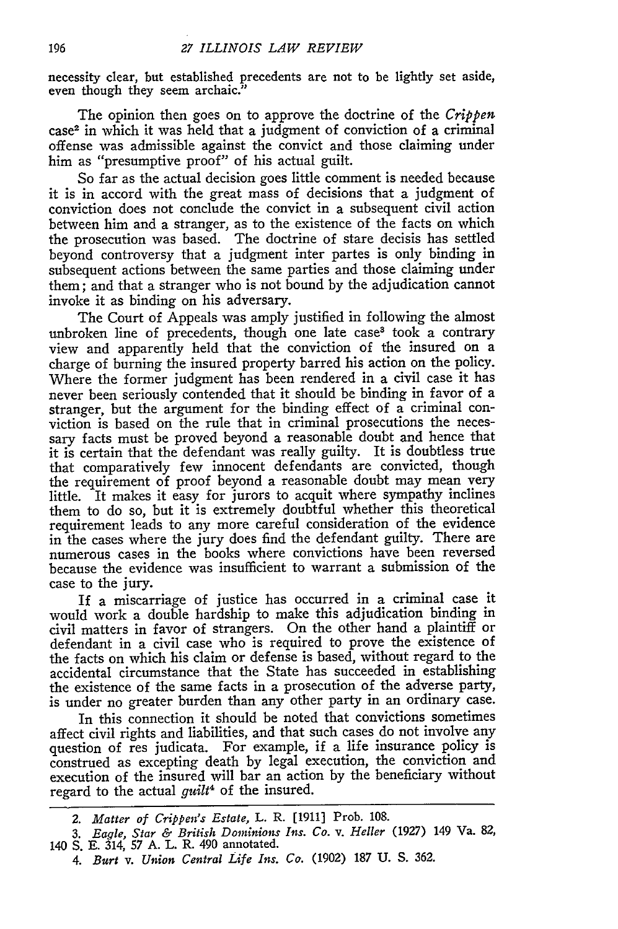necessity clear, but established precedents are not to be lightly set aside, even though they seem archaic."

The opinion then goes on to approve the doctrine of the *Crippen* case<sup>2</sup> in which it was held that a judgment of conviction of a criminal offense was admissible against the convict and those claiming under him as "presumptive proof" of his actual guilt.

So far as the actual decision goes little comment is needed because it is in accord with the great mass of decisions that a judgment of conviction does not conclude the convict in a subsequent civil action between him and a stranger, as to the existence of the facts on which the prosecution was based. The doctrine of stare decisis has settled beyond controversy that a judgment inter partes is only binding in subsequent actions between the same parties and those claiming under them; and that a stranger who is not bound by the adjudication cannot invoke it as binding on his adversary.

The Court of Appeals was amply justified in following the almost unbroken line of precedents, though one late case<sup>3</sup> took a contrary view and apparently held that the conviction of the insured on a charge of burning the insured property barred his action on the policy. Where the former judgment has been rendered in a civil case it has never been seriously contended that it should be binding in favor of a stranger, but the argument for the binding effect of a criminal conviction is based on the rule that in criminal prosecutions the necessary facts must be proved beyond a reasonable doubt and hence that it is certain that the defendant was really guilty. It is doubtless true that comparatively few innocent defendants are convicted, though the requirement of proof beyond a reasonable doubt may mean very little. It makes it easy for jurors to acquit where sympathy inclines them to do so, but it is extremely doubtful whether this theoretical requirement leads to any more careful consideration of the evidence in the cases where the jury does find the defendant guilty. There are numerous cases in the books where convictions have been reversed because the evidence was insufficient to warrant a submission of the case to the jury.

If a miscarriage of justice has occurred in a criminal case it would work a double hardship to make this adjudication binding in civil matters in favor of strangers. On the other hand a plaintiff or defendant in a civil case who is required to prove the existence of the facts on which his claim or defense is based, without regard to the accidental circumstance that the State has succeeded in establishing the existence of the same facts in a prosecution of the adverse party, is under no greater burden than any other party in an ordinary case.

In this connection it should be noted that convictions sometimes affect civil rights and liabilities, and that such cases do not involve any question of res judicata. For example, if a life insurance policy is construed as excepting death by legal execution, the conviction and execution of the insured will bar an action by the beneficiary without regard to the actual *guilt<sup>4</sup>* of the insured.

*<sup>2.</sup> Matter of Crippen's Estate,* L. R. [1911] Prob. 108.

*<sup>3.</sup> Eagle, Star & British Dominions Ins. Co. v. Heller* (1927) 149 Va. 82, 140 S. E. 314, 57 A. L. R. 490 annotated.

*<sup>4.</sup> Burt v. Union Central Life Ins. Co.* (1902) 187 U. S. 362.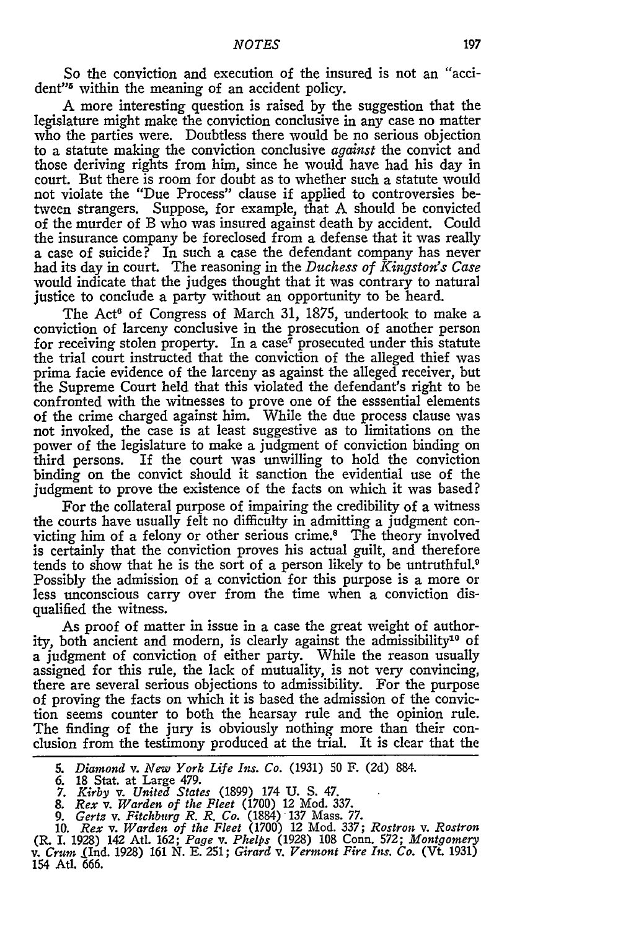So the conviction and execution of the insured is not an "accident"<sup>6</sup> within the meaning of an accident policy.

A more interesting question is raised by the suggestion that the legislature might make the conviction conclusive in any case no matter who the parties were. Doubtless there would be no serious objection to a statute making the conviction conclusive *against* the convict and those deriving rights from him, since he would have had his day in court. But there is room for doubt as to whether such a statute would not violate the "Due Process" clause if applied to controversies between strangers. Suppose, for example, that A should be convicted of the murder of B who was insured against death by accident. Could the insurance company be foreclosed from a defense that it was really a case of suicide? In such a case the defendant company has never had its day in court. The reasoning in the *Duchess of Kingston's Case* would indicate that the judges thought that it was contrary to natural justice to conclude a party without an opportunity to be heard.

The Act<sup>6</sup> of Congress of March 31, 1875, undertook to make a conviction of larceny conclusive in the prosecution of another person for receiving stolen property. In a case<sup>7</sup> prosecuted under this statute the trial court instructed that the conviction of the alleged thief was prima facie evidence of the larceny as against the alleged receiver, but the Supreme Court held that this violated the defendant's right to be confronted with the witnesses to prove one of the esssential elements of the crime charged against him. While the due process clause was not invoked, the case is at least suggestive as to limitations on the power of the legislature to make a judgment of conviction binding on third persons. If the court was unwilling to hold the conviction binding on the convict should it sanction the evidential use of the judgment to prove the existence of the facts on which it was based?

For the collateral purpose of impairing the credibility of a witness the courts have usually felt no difficulty in admitting a judgment convicting him of a felony or other serious crime.8 The theory involved is certainly that the conviction proves his actual guilt, and therefore tends to show that he is the sort of a person likely to be untruthful.<sup>9</sup> Possibly the admission of a conviction for this purpose is a more or less unconscious carry over from the time when a conviction disqualified the witness.

As proof of matter in issue in a case the great weight of authority, both ancient and modern, is clearly against the admissibility<sup>10</sup> of a judgment of conviction of either party. While the reason usually assigned for this rule, the lack of mutuality, is not very convincing, there are several serious objections to admissibility. For the purpose of proving the facts on which it is based the admission of the conviction seems counter to both the hearsay rule and the opinion rule. The finding of the jury is obviously nothing more than their conclusion from the testimony produced at the trial. It is clear that the

9. *Gertz v. Fitchburg R. R. Co.* (1884) **137** Mass. **77.**

10. *Rex v. Warden of the Fleet* (1700) 12 Mod. **337;** *Rostron v. Rostron* (R. I. 1928) 142 AtI. **162;** *Page v. Phelps* (1928) 108 Conn. **572;** *Montgomery* v. *Crum* (Ind. **1928) 161 N. E. 251;** *Girard v. Vermont Fire Ins. Co.* (Vt. **1931)** 154 Atl. 666.

*<sup>5.</sup> Diamond v. New York Life Ins. Co.* **(1931)** 50 F. (2d) 884.

<sup>6. 18</sup> Stat. at Large 479. 7. *Kirby v. United States* (1899) 174 **U.** S. 47.

<sup>8.</sup> *Rex v. Warden of the Fleet* (1700) 12 Mod. **337.**